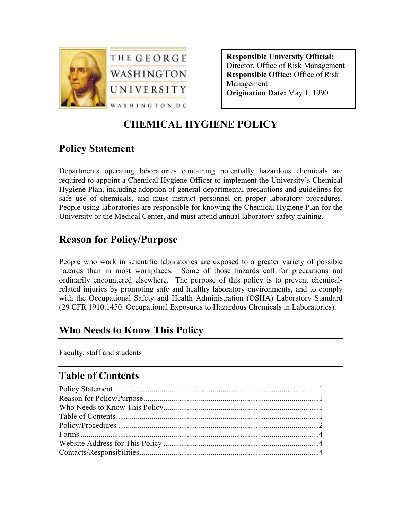

**Responsible University Official:**  Director, Office of Risk Management **Responsible Office:** Office of Risk Management **Origination Date:** May 1, 1990

# **CHEMICAL HYGIENE POLICY**

## **Policy Statement**

Departments operating laboratories containing potentially hazardous chemicals are required to appoint a Chemical Hygiene Officer to implement the University's Chemical Hygiene Plan, including adoption of general departmental precautions and guidelines for safe use of chemicals, and must instruct personnel on proper laboratory procedures. People using laboratories are responsible for knowing the Chemical Hygiene Plan for the University or the Medical Center, and must attend annual laboratory safety training.

## **Reason for Policy/Purpose**

People who work in scientific laboratories are exposed to a greater variety of possible hazards than in most workplaces. Some of those hazards call for precautions not ordinarily encountered elsewhere. The purpose of this policy is to prevent chemicalrelated injuries by promoting safe and healthy laboratory environments, and to comply with the Occupational Safety and Health Administration (OSHA) Laboratory Standard (29 CFR 1910.1450: Occupational Exposures to Hazardous Chemicals in Laboratories).

### **Who Needs to Know This Policy**

Faculty, staff and students

## **Table of Contents**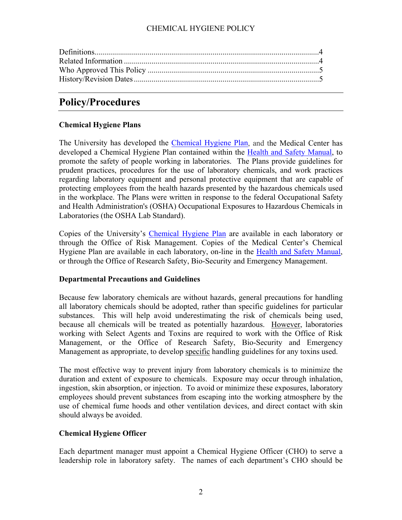#### CHEMICAL HYGIENE POLICY

### **Policy/Procedures**

#### **Chemical Hygiene Plans**

The University has developed the [Chemical Hygiene Plan,](http://www.gwu.edu/~riskmgnt/chemical_hygiene.html) and the Medical Center has developed a Chemical Hygiene Plan contained within the [Health and Safety Manual,](http://www.gwumc.edu/research/labsafety/hsmanual.htm) to promote the safety of people working in laboratories. The Plans provide guidelines for prudent practices, procedures for the use of laboratory chemicals, and work practices regarding laboratory equipment and personal protective equipment that are capable of protecting employees from the health hazards presented by the hazardous chemicals used in the workplace. The Plans were written in response to the federal Occupational Safety and Health Administration's (OSHA) Occupational Exposures to Hazardous Chemicals in Laboratories (the OSHA Lab Standard).

Copies of the University's [Chemical Hygiene Plan](http://www.gwu.edu/~riskmgnt/chemical_hygiene.html) are available in each laboratory or through the Office of Risk Management. Copies of the Medical Center's Chemical Hygiene Plan are available in each laboratory, on-line in the [Health and Safety Manual,](http://www.gwumc.edu/research/labsafety/hsmanual.htm) or through the Office of Research Safety, Bio-Security and Emergency Management.

#### **Departmental Precautions and Guidelines**

Because few laboratory chemicals are without hazards, general precautions for handling all laboratory chemicals should be adopted, rather than specific guidelines for particular substances. This will help avoid underestimating the risk of chemicals being used, because all chemicals will be treated as potentially hazardous. However, laboratories working with Select Agents and Toxins are required to work with the Office of Risk Management, or the Office of Research Safety, Bio-Security and Emergency Management as appropriate, to develop specific handling guidelines for any toxins used.

The most effective way to prevent injury from laboratory chemicals is to minimize the duration and extent of exposure to chemicals. Exposure may occur through inhalation, ingestion, skin absorption, or injection. To avoid or minimize these exposures, laboratory employees should prevent substances from escaping into the working atmosphere by the use of chemical fume hoods and other ventilation devices, and direct contact with skin should always be avoided.

#### **Chemical Hygiene Officer**

Each department manager must appoint a Chemical Hygiene Officer (CHO) to serve a leadership role in laboratory safety. The names of each department's CHO should be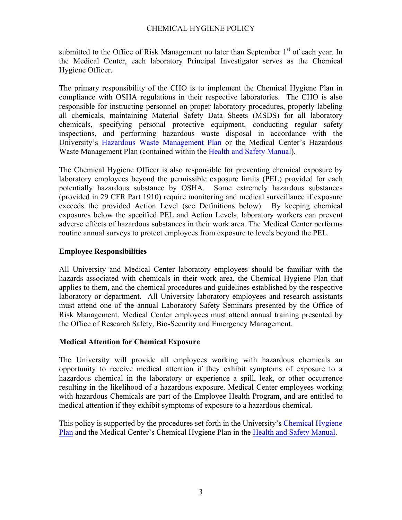#### CHEMICAL HYGIENE POLICY

submitted to the Office of Risk Management no later than September  $1<sup>st</sup>$  of each year. In the Medical Center, each laboratory Principal Investigator serves as the Chemical Hygiene Officer.

The primary responsibility of the CHO is to implement the Chemical Hygiene Plan in compliance with OSHA regulations in their respective laboratories. The CHO is also responsible for instructing personnel on proper laboratory procedures, properly labeling all chemicals, maintaining Material Safety Data Sheets (MSDS) for all laboratory chemicals, specifying personal protective equipment, conducting regular safety inspections, and performing hazardous waste disposal in accordance with the University's [Hazardous Waste Management Plan](http://www.gwu.edu/~riskmgnt/hazmat/hwmp.pdf) or the Medical Center's Hazardous Waste Management Plan (contained within the [Health and Safety Manual\)](http://www.gwumc.edu/research/labsafety/hsmanual.htm).

The Chemical Hygiene Officer is also responsible for preventing chemical exposure by laboratory employees beyond the permissible exposure limits (PEL) provided for each potentially hazardous substance by OSHA. Some extremely hazardous substances (provided in 29 CFR Part 1910) require monitoring and medical surveillance if exposure exceeds the provided Action Level (see Definitions below). By keeping chemical exposures below the specified PEL and Action Levels, laboratory workers can prevent adverse effects of hazardous substances in their work area. The Medical Center performs routine annual surveys to protect employees from exposure to levels beyond the PEL.

#### **Employee Responsibilities**

All University and Medical Center laboratory employees should be familiar with the hazards associated with chemicals in their work area, the Chemical Hygiene Plan that applies to them, and the chemical procedures and guidelines established by the respective laboratory or department. All University laboratory employees and research assistants must attend one of the annual Laboratory Safety Seminars presented by the Office of Risk Management. Medical Center employees must attend annual training presented by the Office of Research Safety, Bio-Security and Emergency Management.

#### **Medical Attention for Chemical Exposure**

The University will provide all employees working with hazardous chemicals an opportunity to receive medical attention if they exhibit symptoms of exposure to a hazardous chemical in the laboratory or experience a spill, leak, or other occurrence resulting in the likelihood of a hazardous exposure. Medical Center employees working with hazardous Chemicals are part of the Employee Health Program, and are entitled to medical attention if they exhibit symptoms of exposure to a hazardous chemical.

This policy is supported by the procedures set forth in the University's Chemical Hygiene [Plan](http://www.gwu.edu/~riskmgnt/chemical_hygiene.html) and the Medical Center's Chemical Hygiene Plan in the [Health and Safety Manual.](http://www.gwumc.edu/research/labsafety/hsmanual.htm)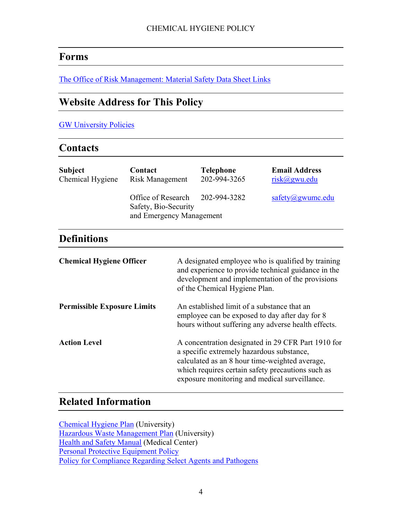### **Forms**

[The Office of Risk Management: Material Safety Data Sheet Links](http://www.gwu.edu/~riskmgnt/msds.cfm)

# **Website Address for This Policy**

#### [GW University Policies](http://www.policy.gwu.edu/)

### **Contacts**

| <b>Subject</b><br>Chemical Hygiene | Contact<br><b>Risk Management</b>                                                   | <b>Telephone</b><br>202-994-3265                                                                                                                                                               | <b>Email Address</b><br>$risk$ @gwu.edu |  |
|------------------------------------|-------------------------------------------------------------------------------------|------------------------------------------------------------------------------------------------------------------------------------------------------------------------------------------------|-----------------------------------------|--|
|                                    | Office of Research 202-994-3282<br>Safety, Bio-Security<br>and Emergency Management |                                                                                                                                                                                                | safety@gwumc.edu                        |  |
|                                    |                                                                                     |                                                                                                                                                                                                |                                         |  |
| <b>Definitions</b>                 |                                                                                     |                                                                                                                                                                                                |                                         |  |
| <b>Chemical Hygiene Officer</b>    |                                                                                     | A designated employee who is qualified by training<br>and experience to provide technical guidance in the<br>development and implementation of the provisions<br>of the Chemical Hygiene Plan. |                                         |  |
|                                    |                                                                                     | $\lambda$ 1111 11 $\lambda$ 0 1 $\lambda$ 1 $\lambda$                                                                                                                                          |                                         |  |

#### **Permissible Exposure Limits** An established limit of a substance that an employee can be exposed to day after day for 8 hours without suffering any adverse health effects.

**Action Level** A concentration designated in 29 CFR Part 1910 for a specific extremely hazardous substance, calculated as an 8 hour time-weighted average, which requires certain safety precautions such as exposure monitoring and medical surveillance.

## **Related Information**

[Chemical Hygiene Plan](http://www.gwu.edu/~riskmgnt/chemical_hygiene.html) (University) [Hazardous Waste Management Plan](http://www.gwu.edu/~riskmgnt/hazmat/hwmp.pdf) (University) [Health and Safety Manual](http://www.gwumc.edu/research/labsafety/hsmanual.htm) (Medical Center) [Personal Protective Equipment Policy](http://my.gwu.edu/files/policies/PersonalProtectiveEquipmentPolicy.pdf) [Policy for Compliance Regarding Select Agents and Pathogens](http://my.gwu.edu/files/policies/SelectAgentsPolicyFINAL.pdf)